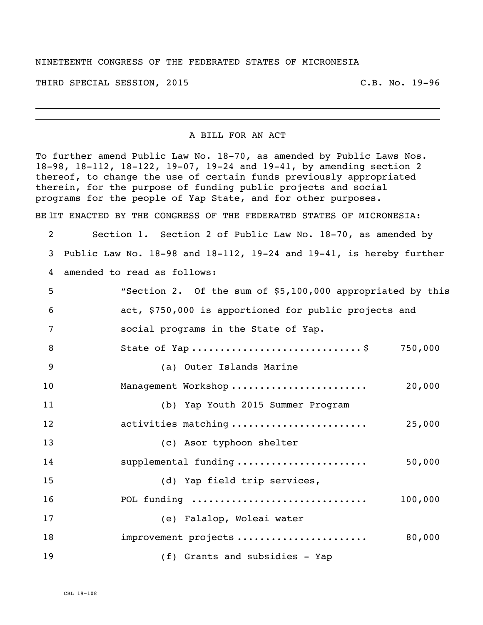## NINETEENTH CONGRESS OF THE FEDERATED STATES OF MICRONESIA

THIRD SPECIAL SESSION, 2015 C.B. No. 19-96

## A BILL FOR AN ACT

To further amend Public Law No. 18-70, as amended by Public Laws Nos. 18-98, 18-112, 18-122, 19-07, 19-24 and 19-41, by amending section 2 thereof, to change the use of certain funds previously appropriated therein, for the purpose of funding public projects and social programs for the people of Yap State, and for other purposes.

BE IIT ENACTED BY THE CONGRESS OF THE FEDERATED STATES OF MICRONESIA:

 Section 1. Section 2 of Public Law No. 18-70, as amended by Public Law No. 18-98 and 18-112, 19-24 and 19-41, is hereby further amended to read as follows:

| 5  | "Section 2. Of the sum of \$5,100,000 appropriated by this |
|----|------------------------------------------------------------|
| 6  | act, \$750,000 is apportioned for public projects and      |
| 7  | social programs in the State of Yap.                       |
| 8  | State of Yap \$<br>750,000                                 |
| 9  | (a) Outer Islands Marine                                   |
| 10 | Management Workshop<br>20,000                              |
| 11 | (b) Yap Youth 2015 Summer Program                          |
| 12 | activities matching<br>25,000                              |
| 13 | (c) Asor typhoon shelter                                   |
| 14 | supplemental funding<br>50,000                             |
| 15 | (d) Yap field trip services,                               |
| 16 | POL funding<br>100,000                                     |
| 17 | (e) Falalop, Woleai water                                  |
| 18 | improvement projects<br>80,000                             |
| 19 | (f) Grants and subsidies - Yap                             |